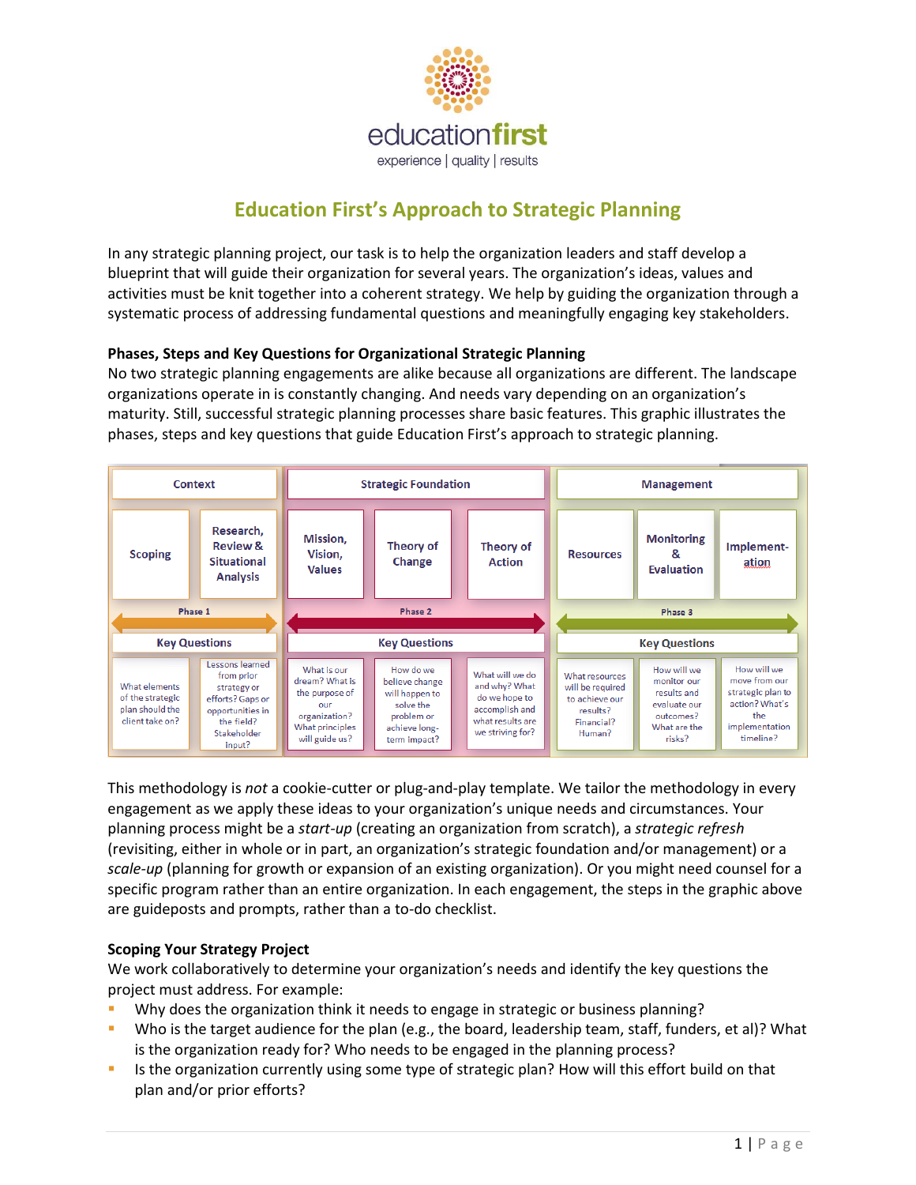

# **Education First's Approach to Strategic Planning**

In any strategic planning project, our task is to help the organization leaders and staff develop a blueprint that will guide their organization for several years. The organization's ideas, values and activities must be knit together into a coherent strategy. We help by guiding the organization through a systematic process of addressing fundamental questions and meaningfully engaging key stakeholders.

## **Phases, Steps and Key Questions for Organizational Strategic Planning**

No two strategic planning engagements are alike because all organizations are different. The landscape organizations operate in is constantly changing. And needs vary depending on an organization's maturity. Still, successful strategic planning processes share basic features. This graphic illustrates the phases, steps and key questions that guide Education First's approach to strategic planning.



This methodology is *not* a cookie-cutter or plug-and-play template. We tailor the methodology in every engagement as we apply these ideas to your organization's unique needs and circumstances. Your planning process might be a *start-up* (creating an organization from scratch), a *strategic refresh* (revisiting, either in whole or in part, an organization's strategic foundation and/or management) or a *scale-up* (planning for growth or expansion of an existing organization). Or you might need counsel for a specific program rather than an entire organization. In each engagement, the steps in the graphic above are guideposts and prompts, rather than a to-do checklist.

#### **Scoping Your Strategy Project**

We work collaboratively to determine your organization's needs and identify the key questions the project must address. For example:

- Why does the organization think it needs to engage in strategic or business planning?
- Who is the target audience for the plan (e.g., the board, leadership team, staff, funders, et al)? What is the organization ready for? Who needs to be engaged in the planning process?
- Is the organization currently using some type of strategic plan? How will this effort build on that plan and/or prior efforts?